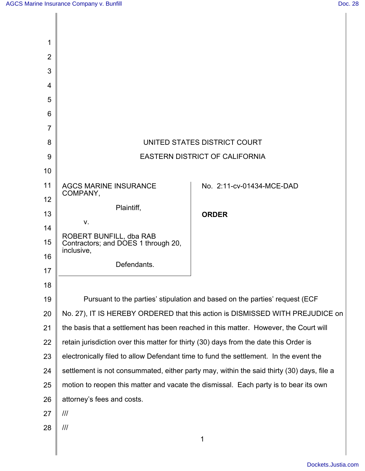| 1              |                                                                                                                                                                                |                           |
|----------------|--------------------------------------------------------------------------------------------------------------------------------------------------------------------------------|---------------------------|
| $\overline{2}$ |                                                                                                                                                                                |                           |
| 3              |                                                                                                                                                                                |                           |
| 4              |                                                                                                                                                                                |                           |
| 5              |                                                                                                                                                                                |                           |
| 6              |                                                                                                                                                                                |                           |
| 7              |                                                                                                                                                                                |                           |
| 8              | UNITED STATES DISTRICT COURT                                                                                                                                                   |                           |
| 9              | <b>EASTERN DISTRICT OF CALIFORNIA</b>                                                                                                                                          |                           |
| 10             |                                                                                                                                                                                |                           |
| 11             | <b>AGCS MARINE INSURANCE</b><br>COMPANY,                                                                                                                                       | No. 2:11-cv-01434-MCE-DAD |
| 12             | Plaintiff,                                                                                                                                                                     |                           |
| 13             | V.                                                                                                                                                                             | <b>ORDER</b>              |
| 14             | ROBERT BUNFILL, dba RAB                                                                                                                                                        |                           |
| 15             | Contractors; and DOES 1 through 20,<br>inclusive,                                                                                                                              |                           |
| 16             | Defendants.                                                                                                                                                                    |                           |
| 17             |                                                                                                                                                                                |                           |
| 18             |                                                                                                                                                                                |                           |
| 19             | Pursuant to the parties' stipulation and based on the parties' request (ECF)                                                                                                   |                           |
| 20             | No. 27), IT IS HEREBY ORDERED that this action is DISMISSED WITH PREJUDICE on                                                                                                  |                           |
| 21<br>22       | the basis that a settlement has been reached in this matter. However, the Court will                                                                                           |                           |
| 23             | retain jurisdiction over this matter for thirty (30) days from the date this Order is<br>electronically filed to allow Defendant time to fund the settlement. In the event the |                           |
| 24             | settlement is not consummated, either party may, within the said thirty (30) days, file a                                                                                      |                           |
| 25             | motion to reopen this matter and vacate the dismissal. Each party is to bear its own                                                                                           |                           |
| 26             | attorney's fees and costs.                                                                                                                                                     |                           |
| 27             |                                                                                                                                                                                |                           |
| 28             | III                                                                                                                                                                            |                           |
|                |                                                                                                                                                                                | 1                         |
|                |                                                                                                                                                                                |                           |